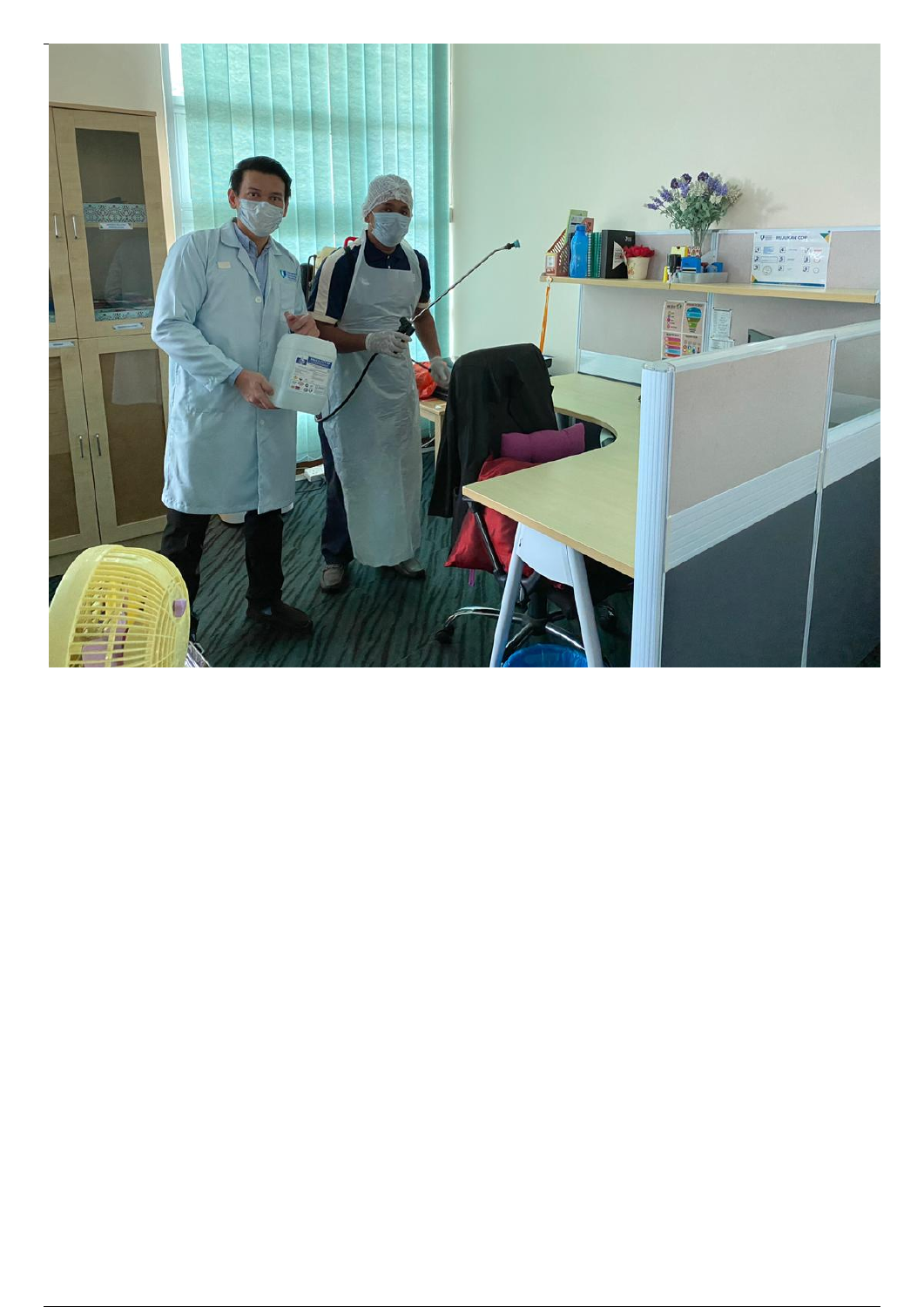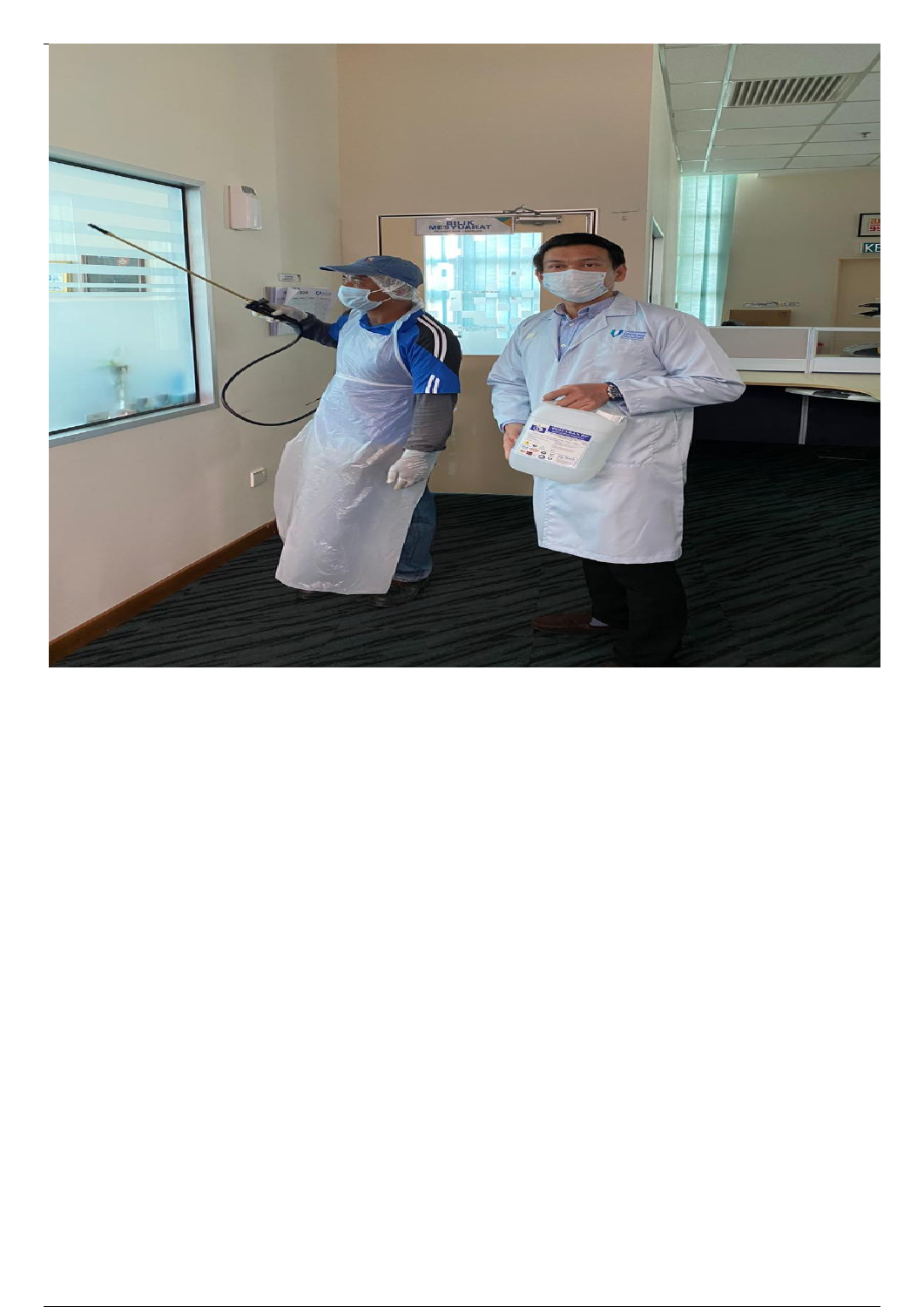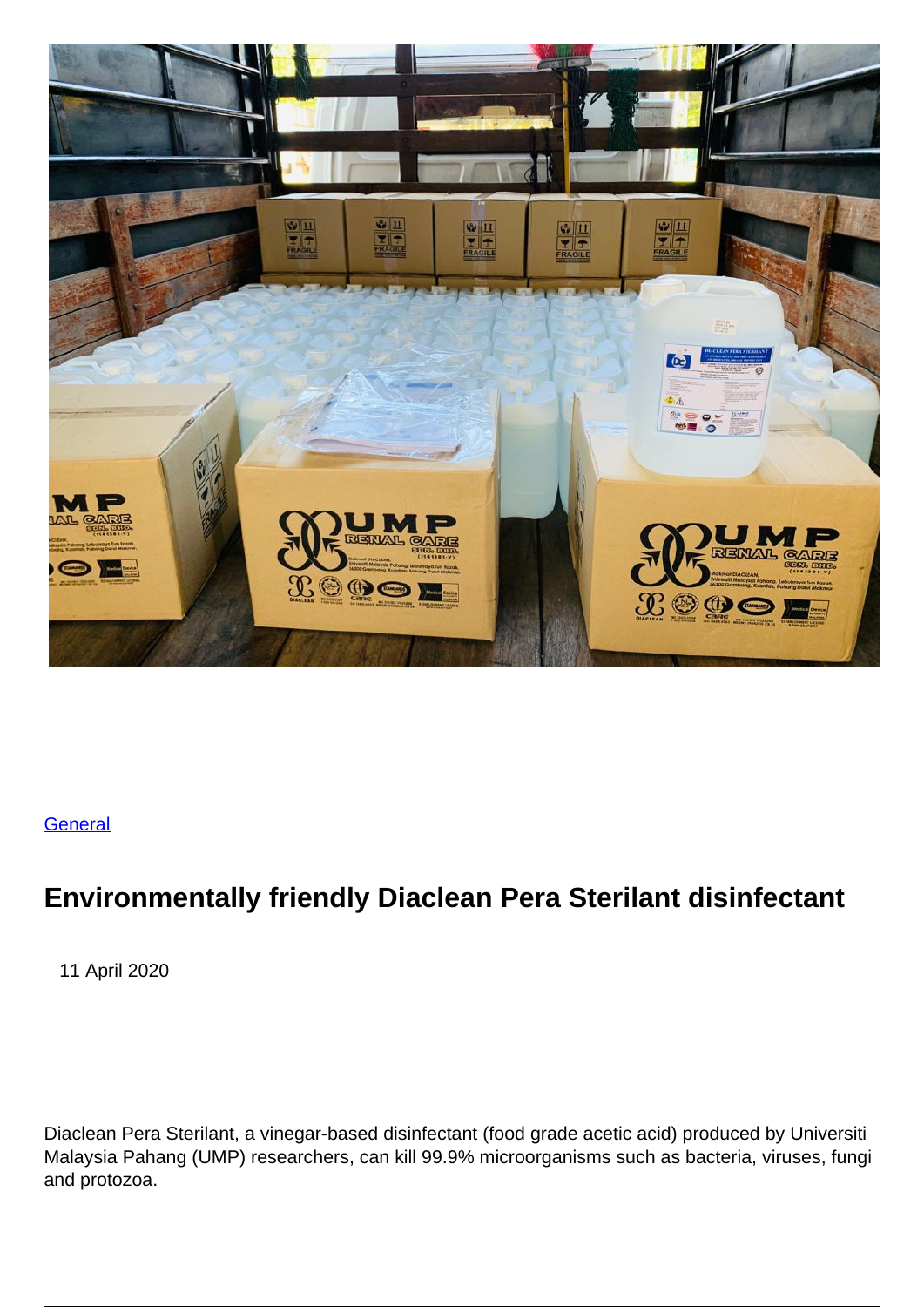

## **[General](/general)**

## **Environmentally friendly Diaclean Pera Sterilant disinfectant**

11 April 2020

Diaclean Pera Sterilant, a vinegar-based disinfectant (food grade acetic acid) produced by Universiti Malaysia Pahang (UMP) researchers, can kill 99.9% microorganisms such as bacteria, viruses, fungi and protozoa.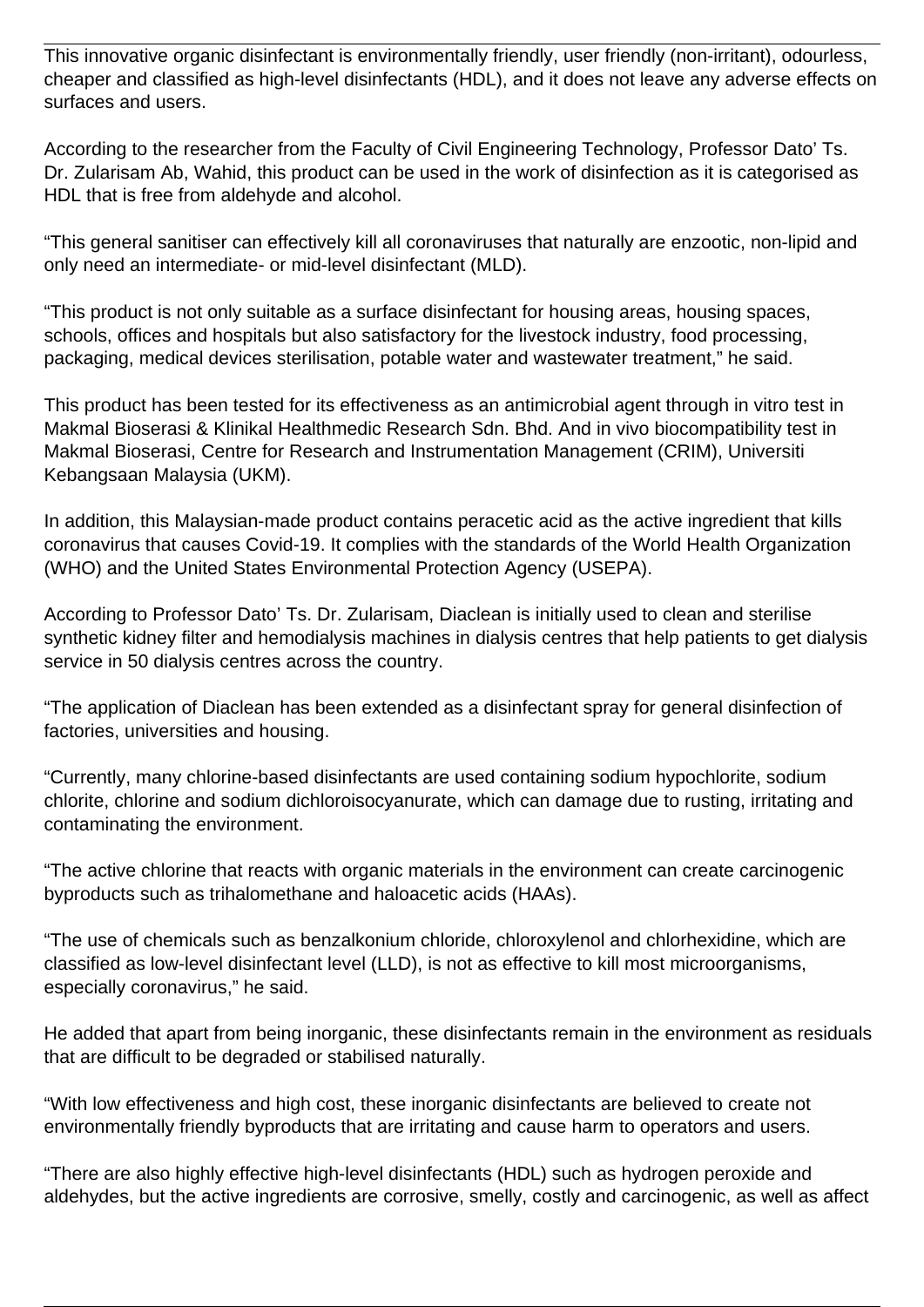This innovative organic disinfectant is environmentally friendly, user friendly (non-irritant), odourless, cheaper and classified as high-level disinfectants (HDL), and it does not leave any adverse effects on surfaces and users.

According to the researcher from the Faculty of Civil Engineering Technology, Professor Dato' Ts. Dr. Zularisam Ab, Wahid, this product can be used in the work of disinfection as it is categorised as HDL that is free from aldehyde and alcohol.

"This general sanitiser can effectively kill all coronaviruses that naturally are enzootic, non-lipid and only need an intermediate- or mid-level disinfectant (MLD).

"This product is not only suitable as a surface disinfectant for housing areas, housing spaces, schools, offices and hospitals but also satisfactory for the livestock industry, food processing, packaging, medical devices sterilisation, potable water and wastewater treatment," he said.

This product has been tested for its effectiveness as an antimicrobial agent through in vitro test in Makmal Bioserasi & Klinikal Healthmedic Research Sdn. Bhd. And in vivo biocompatibility test in Makmal Bioserasi, Centre for Research and Instrumentation Management (CRIM), Universiti Kebangsaan Malaysia (UKM).

In addition, this Malaysian-made product contains peracetic acid as the active ingredient that kills coronavirus that causes Covid-19. It complies with the standards of the World Health Organization (WHO) and the United States Environmental Protection Agency (USEPA).

According to Professor Dato' Ts. Dr. Zularisam, Diaclean is initially used to clean and sterilise synthetic kidney filter and hemodialysis machines in dialysis centres that help patients to get dialysis service in 50 dialysis centres across the country.

"The application of Diaclean has been extended as a disinfectant spray for general disinfection of factories, universities and housing.

"Currently, many chlorine-based disinfectants are used containing sodium hypochlorite, sodium chlorite, chlorine and sodium dichloroisocyanurate, which can damage due to rusting, irritating and contaminating the environment.

"The active chlorine that reacts with organic materials in the environment can create carcinogenic byproducts such as trihalomethane and haloacetic acids (HAAs).

"The use of chemicals such as benzalkonium chloride, chloroxylenol and chlorhexidine, which are classified as low-level disinfectant level (LLD), is not as effective to kill most microorganisms, especially coronavirus," he said.

He added that apart from being inorganic, these disinfectants remain in the environment as residuals that are difficult to be degraded or stabilised naturally.

"With low effectiveness and high cost, these inorganic disinfectants are believed to create not environmentally friendly byproducts that are irritating and cause harm to operators and users.

"There are also highly effective high-level disinfectants (HDL) such as hydrogen peroxide and aldehydes, but the active ingredients are corrosive, smelly, costly and carcinogenic, as well as affect